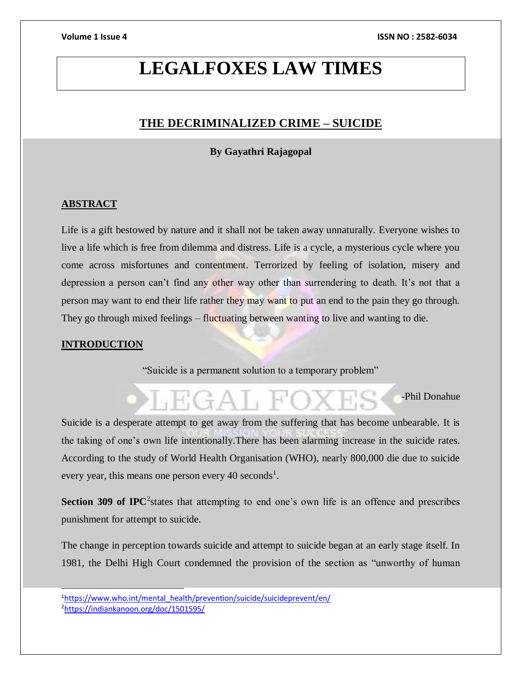# **LEGALFOXES LAW TIMES**

## **THE DECRIMINALIZED CRIME – SUICIDE**

#### **By Gayathri Rajagopal**

### **ABSTRACT**

Life is a gift bestowed by nature and it shall not be taken away unnaturally. Everyone wishes to live a life which is free from dilemma and distress. Life is a cycle, a mysterious cycle where you come across misfortunes and contentment. Terrorized by feeling of isolation, misery and depression a person can't find any other way other than surrendering to death. It's not that a person may want to end their life rather they may want to put an end to the pain they go through. They go through mixed feelings – fluctuating between wanting to live and wanting to die.

#### **INTRODUCTION**

l

"Suicide is a permanent solution to a temporary problem"

# -Phil Donahue  $H(GA),$

Suicide is a desperate attempt to get away from the suffering that has become unbearable. It is the taking of one's own life intentionally.There has been alarming increase in the suicide rates. According to the study of World Health Organisation (WHO), nearly 800,000 die due to suicide every year, this means one person every 40 seconds<sup>1</sup>.

**Section 309 of IPC**<sup>2</sup> states that attempting to end one's own life is an offence and prescribes punishment for attempt to suicide.

The change in perception towards suicide and attempt to suicide began at an early stage itself. In 1981, the Delhi High Court condemned the provision of the section as "unworthy of human

<sup>&</sup>lt;sup>1</sup>[https://www.who.int/mental\\_health/prevention/suicide/suicideprevent/en/](https://www.who.int/mental_health/prevention/suicide/suicideprevent/en/) <sup>2</sup><https://indiankanoon.org/doc/1501595/>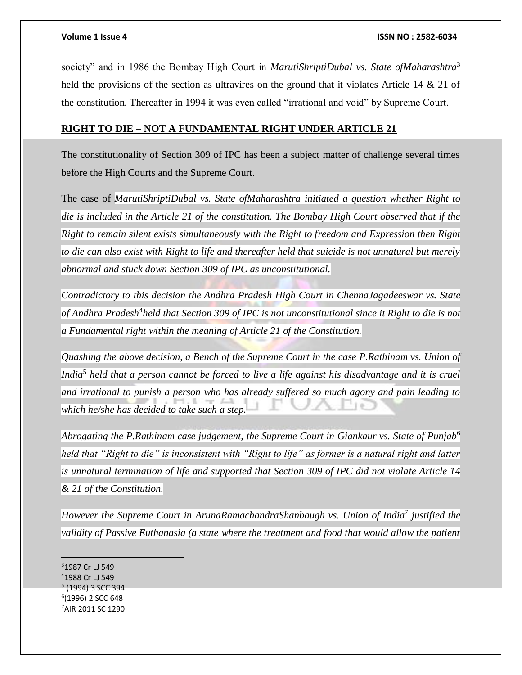society" and in 1986 the Bombay High Court in *MarutiShriptiDubal vs. State ofMaharashtra*<sup>3</sup> held the provisions of the section as ultravires on the ground that it violates Article 14  $\&$  21 of the constitution. Thereafter in 1994 it was even called "irrational and void" by Supreme Court.

#### **RIGHT TO DIE – NOT A FUNDAMENTAL RIGHT UNDER ARTICLE 21**

The constitutionality of Section 309 of IPC has been a subject matter of challenge several times before the High Courts and the Supreme Court.

The case of *MarutiShriptiDubal vs. State ofMaharashtra initiated a question whether Right to die is included in the Article 21 of the constitution. The Bombay High Court observed that if the Right to remain silent exists simultaneously with the Right to freedom and Expression then Right to die can also exist with Right to life and thereafter held that suicide is not unnatural but merely abnormal and stuck down Section 309 of IPC as unconstitutional.*

*Contradictory to this decision the Andhra Pradesh High Court in ChennaJagadeeswar vs. State*  of Andhra Pradesh<sup>4</sup>held that Section 309 of IPC is not unconstitutional since it Right to die is not *a Fundamental right within the meaning of Article 21 of the Constitution.*

*Quashing the above decision, a Bench of the Supreme Court in the case P.Rathinam vs. Union of*  India<sup>5</sup> held that a person cannot be forced to live a life against his disadvantage and it is cruel *and irrational to punish a person who has already suffered so much agony and pain leading to which he/she has decided to take such a step.* 

*Abrogating the P.Rathinam case judgement, the Supreme Court in Giankaur vs. State of Punjab*<sup>6</sup> *held that "Right to die" is inconsistent with "Right to life" as former is a natural right and latter is unnatural termination of life and supported that Section 309 of IPC did not violate Article 14 & 21 of the Constitution.* 

*However the Supreme Court in ArunaRamachandraShanbaugh vs. Union of India*<sup>7</sup> *justified the validity of Passive Euthanasia (a state where the treatment and food that would allow the patient* 

<sup>3</sup>1987 Cr LJ 549 1988 Cr LJ 549 (1994) 3 SCC 394 (1996) 2 SCC 648 AIR 2011 SC 1290

 $\overline{a}$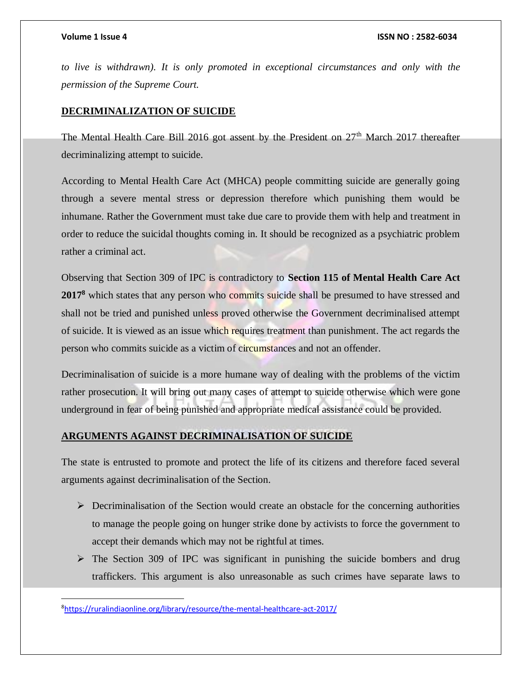*to live is withdrawn). It is only promoted in exceptional circumstances and only with the permission of the Supreme Court.* 

#### **DECRIMINALIZATION OF SUICIDE**

The Mental Health Care Bill 2016 got assent by the President on  $27<sup>th</sup>$  March 2017 thereafter decriminalizing attempt to suicide.

According to Mental Health Care Act (MHCA) people committing suicide are generally going through a severe mental stress or depression therefore which punishing them would be inhumane. Rather the Government must take due care to provide them with help and treatment in order to reduce the suicidal thoughts coming in. It should be recognized as a psychiatric problem rather a criminal act.

Observing that Section 309 of IPC is contradictory to **Section 115 of Mental Health Care Act**  2017<sup>8</sup> which states that any person who commits suicide shall be presumed to have stressed and shall not be tried and punished unless proved otherwise the Government decriminalised attempt of suicide. It is viewed as an issue which requires treatment than punishment. The act regards the person who commits suicide as a victim of circumstances and not an offender.

Decriminalisation of suicide is a more humane way of dealing with the problems of the victim rather prosecution. It will bring out many cases of attempt to suicide otherwise which were gone underground in fear of being punished and appropriate medical assistance could be provided.

#### **ARGUMENTS AGAINST DECRIMINALISATION OF SUICIDE**

The state is entrusted to promote and protect the life of its citizens and therefore faced several arguments against decriminalisation of the Section.

- $\triangleright$  Decriminalisation of the Section would create an obstacle for the concerning authorities to manage the people going on hunger strike done by activists to force the government to accept their demands which may not be rightful at times.
- $\triangleright$  The Section 309 of IPC was significant in punishing the suicide bombers and drug traffickers. This argument is also unreasonable as such crimes have separate laws to

 $\overline{a}$ 

<sup>8</sup><https://ruralindiaonline.org/library/resource/the-mental-healthcare-act-2017/>